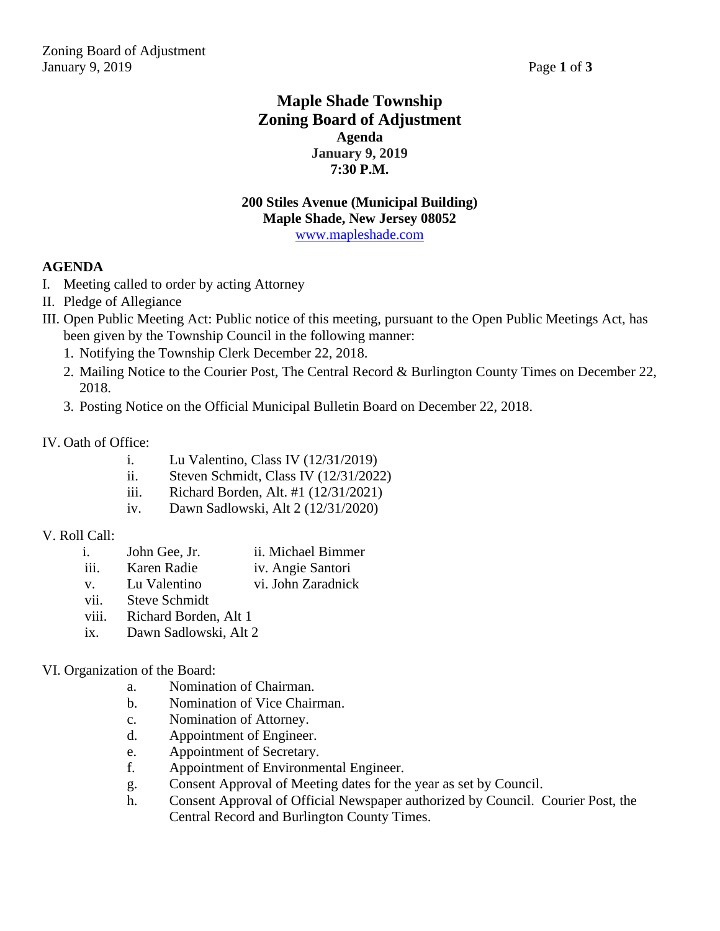# **Maple Shade Township Zoning Board of Adjustment Agenda January 9, 2019 7:30 P.M.**

### **200 Stiles Avenue (Municipal Building) Maple Shade, New Jersey 08052** [www.mapleshade.com](http://www.mapleshade.com/)

### **AGENDA**

- I. Meeting called to order by acting Attorney
- II. Pledge of Allegiance
- III. Open Public Meeting Act: Public notice of this meeting, pursuant to the Open Public Meetings Act, has been given by the Township Council in the following manner:
	- 1. Notifying the Township Clerk December 22, 2018.
	- 2. Mailing Notice to the Courier Post, The Central Record & Burlington County Times on December 22, 2018.
	- 3. Posting Notice on the Official Municipal Bulletin Board on December 22, 2018.

### IV. Oath of Office:

- i. Lu Valentino, Class IV (12/31/2019)
- ii. Steven Schmidt, Class IV (12/31/2022)
- iii. Richard Borden, Alt. #1 (12/31/2021)
- iv. Dawn Sadlowski, Alt 2 (12/31/2020)

### V. Roll Call:

- i. John Gee, Jr. ii. Michael Bimmer
- iii. Karen Radie iv. Angie Santori
- v. Lu Valentino vi. John Zaradnick
- vii. Steve Schmidt
- viii. Richard Borden, Alt 1
- ix. Dawn Sadlowski, Alt 2

### VI. Organization of the Board:

- a. Nomination of Chairman.
- b. Nomination of Vice Chairman.
- c. Nomination of Attorney.
- d. Appointment of Engineer.
- e. Appointment of Secretary.
- f. Appointment of Environmental Engineer.
- g. Consent Approval of Meeting dates for the year as set by Council.
- h. Consent Approval of Official Newspaper authorized by Council. Courier Post, the Central Record and Burlington County Times.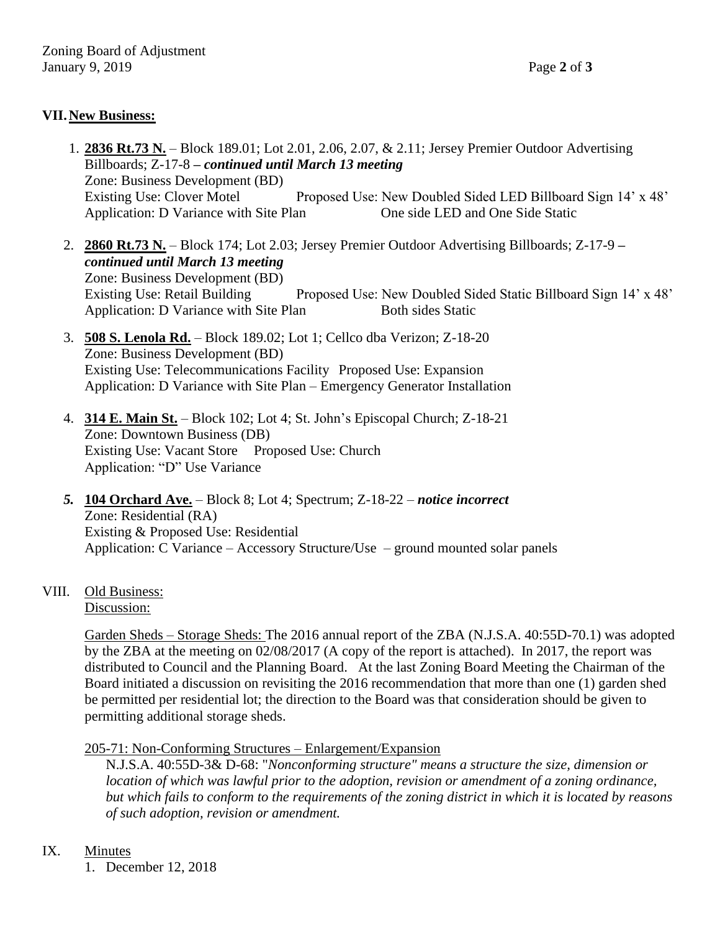## **VII.New Business:**

- 1. **2836 Rt.73 N.** Block 189.01; Lot 2.01, 2.06, 2.07, & 2.11; Jersey Premier Outdoor Advertising Billboards; Z-17-8 *– continued until March 13 meeting* Zone: Business Development (BD) Existing Use: Clover Motel Proposed Use: New Doubled Sided LED Billboard Sign 14' x 48' Application: D Variance with Site Plan One side LED and One Side Static
- 2. **2860 Rt.73 N.** Block 174; Lot 2.03; Jersey Premier Outdoor Advertising Billboards; Z-17-9 *– continued until March 13 meeting* Zone: Business Development (BD) Existing Use: Retail Building Proposed Use: New Doubled Sided Static Billboard Sign 14' x 48' Application: D Variance with Site Plan Both sides Static
- 3. **508 S. Lenola Rd.** Block 189.02; Lot 1; Cellco dba Verizon; Z-18-20 Zone: Business Development (BD) Existing Use: Telecommunications Facility Proposed Use: Expansion Application: D Variance with Site Plan – Emergency Generator Installation
- 4. **314 E. Main St.** Block 102; Lot 4; St. John's Episcopal Church; Z-18-21 Zone: Downtown Business (DB) Existing Use: Vacant Store Proposed Use: Church Application: "D" Use Variance
- *5.* **104 Orchard Ave.** Block 8; Lot 4; Spectrum; Z-18-22 *notice incorrect* Zone: Residential (RA) Existing & Proposed Use: Residential Application: C Variance – Accessory Structure/Use – ground mounted solar panels
- VIII. Old Business:

Discussion:

Garden Sheds – Storage Sheds: The 2016 annual report of the ZBA (N.J.S.A. 40:55D-70.1) was adopted by the ZBA at the meeting on 02/08/2017 (A copy of the report is attached). In 2017, the report was distributed to Council and the Planning Board. At the last Zoning Board Meeting the Chairman of the Board initiated a discussion on revisiting the 2016 recommendation that more than one (1) garden shed be permitted per residential lot; the direction to the Board was that consideration should be given to permitting additional storage sheds.

### 205-71: Non-Conforming Structures – Enlargement/Expansion

N.J.S.A. 40:55D-3& D-68: "*Nonconforming structure" means a structure the size, dimension or location of which was lawful prior to the adoption, revision or amendment of a zoning ordinance, but which fails to conform to the requirements of the zoning district in which it is located by reasons of such adoption, revision or amendment.*

### IX. Minutes

1. December 12, 2018